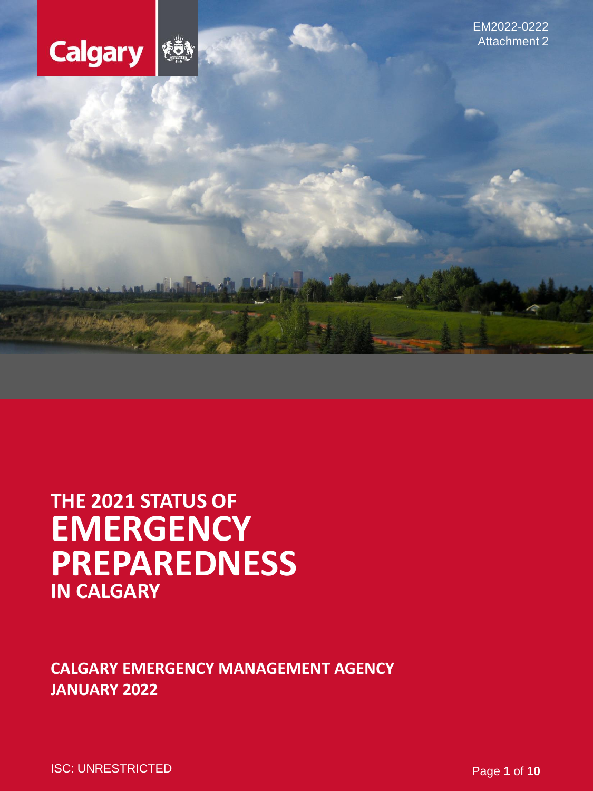

EM2022-0222 Attachment 2

# **PREPAREDNESS THE 2021 STATUS OF EMERGENCY IN CALGARY**

# **CALGARY EMERGENCY MANAGEMENT AGENCY JANUARY 2022**

ISC: UNRESTRICTED **Page 1** of **10**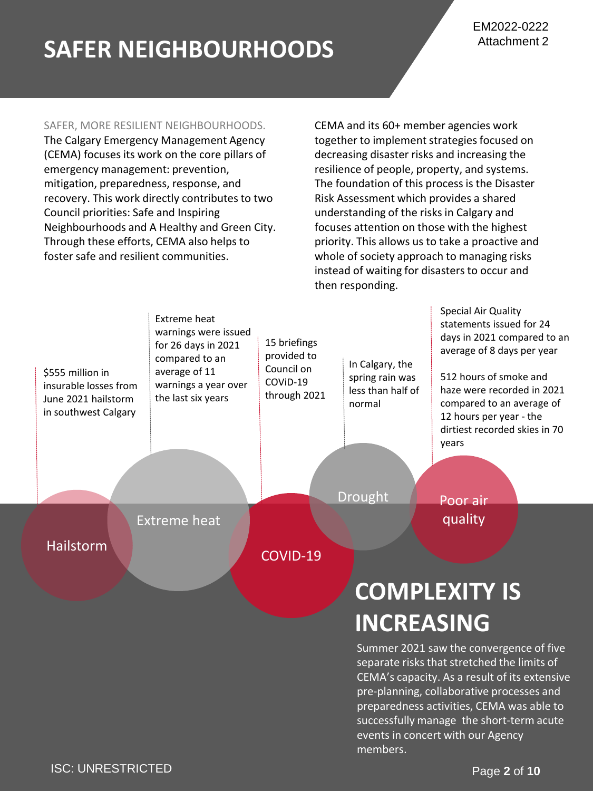# **SAFER NEIGHBOURHOODS**

#### SAFER, MORE RESILIENT NEIGHBOURHOODS.

The Calgary Emergency Management Agency (CEMA) focuses its work on the core pillars of emergency management: prevention, mitigation, preparedness, response, and recovery. This work directly contributes to two Council priorities: Safe and Inspiring Neighbourhoods and A Healthy and Green City. Through these efforts, CEMA also helps to foster safe and resilient communities.

CEMA and its 60+ member agencies work together to implement strategies focused on decreasing disaster risks and increasing the resilience of people, property, and systems. The foundation of this process is the Disaster Risk Assessment which provides a shared understanding of the risks in Calgary and focuses attention on those with the highest priority. This allows us to take a proactive and whole of society approach to managing risks instead of waiting for disasters to occur and then responding.



Summer 2021 saw the convergence of five separate risks that stretched the limits of CEMA's capacity. As a result of its extensive pre-planning, collaborative processes and preparedness activities, CEMA was able to successfully manage the short-term acute events in concert with our Agency members.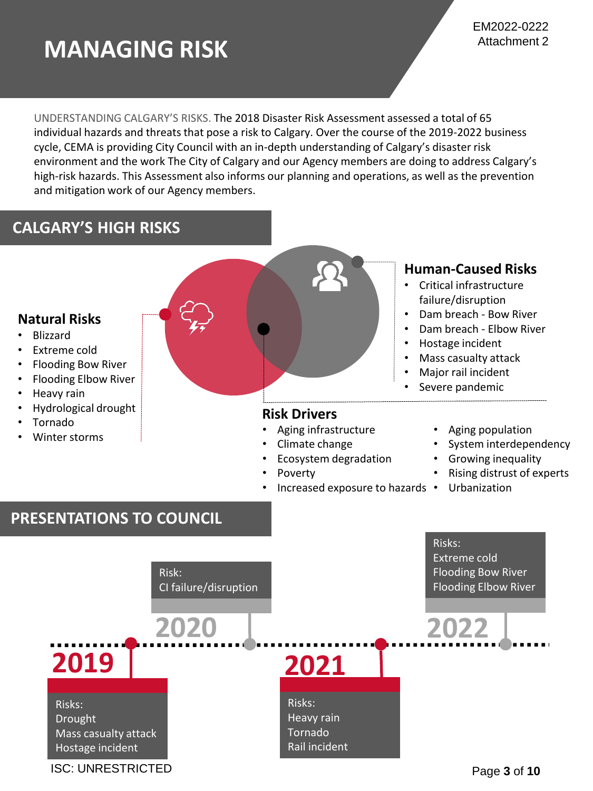# **MANAGING RISK**

UNDERSTANDING CALGARY'S RISKS. The 2018 Disaster Risk Assessment assessed a total of 65 individual hazards and threats that pose a risk to Calgary. Over the course of the 2019-2022 business cycle, CEMA is providing City Council with an in-depth understanding of Calgary's disaster risk environment and the work The City of Calgary and our Agency members are doing to address Calgary's high-risk hazards. This Assessment also informs our planning and operations, as well as the prevention and mitigation work of our Agency members.

# **CALGARY'S HIGH RISKS**

### **Natural Risks**

- Blizzard
- Extreme cold
- Flooding Bow River
- Flooding Elbow River
- Heavy rain
- Hydrological drought
- Tornado
- Winter storms



### **Risk Drivers**

- Aging infrastructure
- Climate change
	- Ecosystem degradation
- Poverty
- Increased exposure to hazards Urbanization

### **Human-Caused Risks**

- Critical infrastructure failure/disruption
- Dam breach Bow River
- Dam breach Elbow River
- Hostage incident
- Mass casualty attack
- Major rail incident
- Severe pandemic
	- Aging population
	- System interdependency
	- Growing inequality
	- Rising distrust of experts
	-

## **PRESENTATIONS TO COUNCIL**

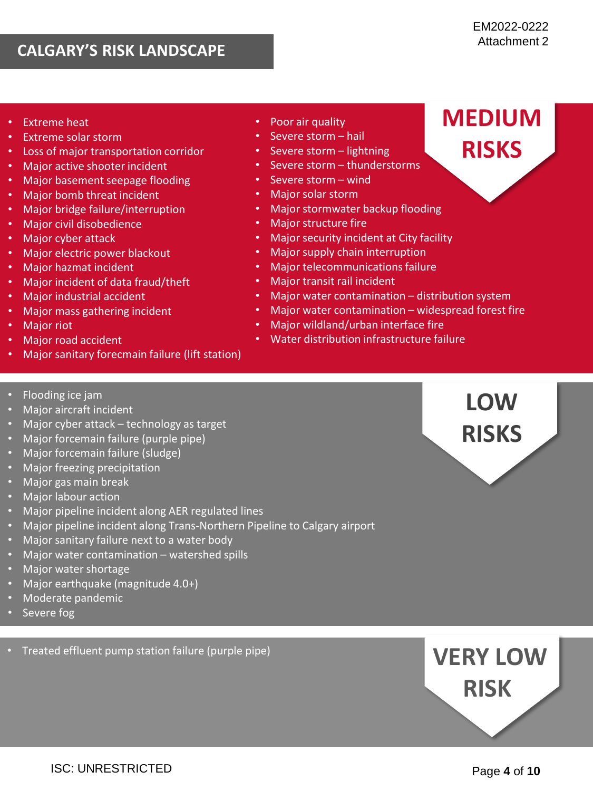# **CALGARY'S RISK LANDSCAPE**

**MEDIUM**

**RISKS**

- **Extreme heat**
- Extreme solar storm
- Loss of major transportation corridor
- Major active shooter incident
- Major basement seepage flooding
- Major bomb threat incident
- Major bridge failure/interruption
- Major civil disobedience
- Major cyber attack
- Major electric power blackout
- Major hazmat incident
- Major incident of data fraud/theft
- Major industrial accident
- Major mass gathering incident
- Major riot
- Major road accident
- Major sanitary forecmain failure (lift station)
- Flooding ice jam
- Major aircraft incident
- Major cyber attack technology as target
- Major forcemain failure (purple pipe)
- Major forcemain failure (sludge)
- Major freezing precipitation
- Major gas main break
- Major labour action
- Major pipeline incident along AER regulated lines
- Major pipeline incident along Trans-Northern Pipeline to Calgary airport
- Major sanitary failure next to a water body
- Major water contamination watershed spills
- Major water shortage
- Major earthquake (magnitude 4.0+)
- Moderate pandemic
- Severe fog
- Treated effluent pump station failure (purple pipe)
- Poor air quality
- Severe storm hail
- Severe storm lightning
- Severe storm thunderstorms
- Severe storm wind
- Major solar storm
- Major stormwater backup flooding
- Major structure fire
- Major security incident at City facility
- Major supply chain interruption
- Major telecommunications failure
- Major transit rail incident
- Major water contamination distribution system
- Major water contamination widespread forest fire
- Major wildland/urban interface fire
- Water distribution infrastructure failure



**VERY LOW RISK**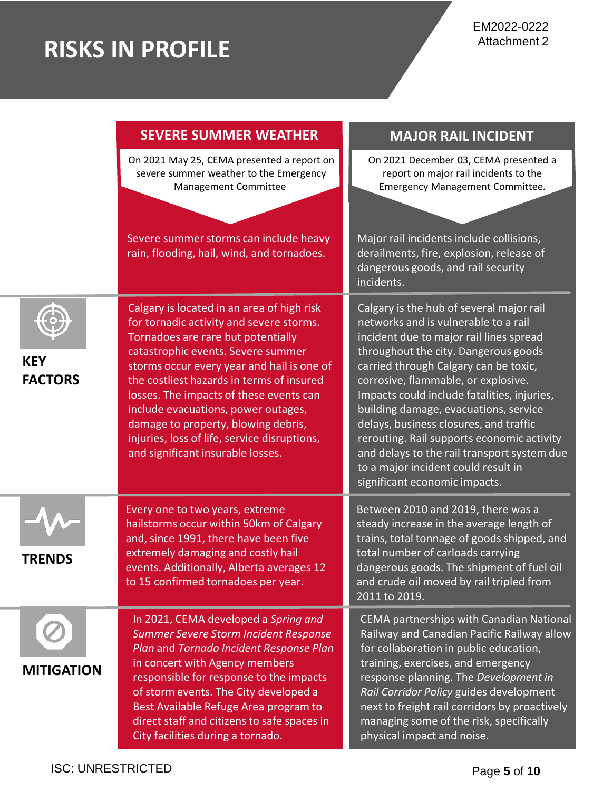# **RISKS IN PROFILE**

|                              | <b>SEVERE SUMMER WEATHER</b>                                                                                                                                                                                                                                                                                                                                                                                                                                                | <b>MAJOR RAIL INCIDENT</b>                                                                                                                                                                                                                                                                                                                                                                                                                                                                                                                                 |
|------------------------------|-----------------------------------------------------------------------------------------------------------------------------------------------------------------------------------------------------------------------------------------------------------------------------------------------------------------------------------------------------------------------------------------------------------------------------------------------------------------------------|------------------------------------------------------------------------------------------------------------------------------------------------------------------------------------------------------------------------------------------------------------------------------------------------------------------------------------------------------------------------------------------------------------------------------------------------------------------------------------------------------------------------------------------------------------|
|                              | On 2021 May 25, CEMA presented a report on<br>severe summer weather to the Emergency<br>Management Committee<br>Severe summer storms can include heavy                                                                                                                                                                                                                                                                                                                      | On 2021 December 03, CEMA presented a<br>report on major rail incidents to the<br><b>Emergency Management Committee.</b><br>Major rail incidents include collisions,                                                                                                                                                                                                                                                                                                                                                                                       |
|                              | rain, flooding, hail, wind, and tornadoes.                                                                                                                                                                                                                                                                                                                                                                                                                                  | derailments, fire, explosion, release of<br>dangerous goods, and rail security<br>incidents.                                                                                                                                                                                                                                                                                                                                                                                                                                                               |
| <b>KEY</b><br><b>FACTORS</b> | Calgary is located in an area of high risk<br>for tornadic activity and severe storms.<br>Tornadoes are rare but potentially<br>catastrophic events. Severe summer<br>storms occur every year and hail is one of<br>the costliest hazards in terms of insured<br>losses. The impacts of these events can<br>include evacuations, power outages,<br>damage to property, blowing debris,<br>injuries, loss of life, service disruptions,<br>and significant insurable losses. | Calgary is the hub of several major rail<br>networks and is vulnerable to a rail<br>incident due to major rail lines spread<br>throughout the city. Dangerous goods<br>carried through Calgary can be toxic,<br>corrosive, flammable, or explosive.<br>Impacts could include fatalities, injuries,<br>building damage, evacuations, service<br>delays, business closures, and traffic<br>rerouting. Rail supports economic activity<br>and delays to the rail transport system due<br>to a major incident could result in<br>significant economic impacts. |
| <b>TRENDS</b>                | Every one to two years, extreme<br>hailstorms occur within 50km of Calgary<br>and, since 1991, there have been five<br>extremely damaging and costly hail<br>events. Additionally, Alberta averages 12<br>to 15 confirmed tornadoes per year.                                                                                                                                                                                                                               | Between 2010 and 2019, there was a<br>steady increase in the average length of<br>trains, total tonnage of goods shipped, and<br>total number of carloads carrying<br>dangerous goods. The shipment of fuel oil<br>and crude oil moved by rail tripled from<br>2011 to 2019.                                                                                                                                                                                                                                                                               |
| <b>MITIGATION</b>            | In 2021, CEMA developed a Spring and<br>Summer Severe Storm Incident Response<br>Plan and Tornado Incident Response Plan<br>in concert with Agency members<br>responsible for response to the impacts<br>of storm events. The City developed a<br>Best Available Refuge Area program to<br>direct staff and citizens to safe spaces in<br>City facilities during a tornado.                                                                                                 | CEMA partnerships with Canadian National<br>Railway and Canadian Pacific Railway allow<br>for collaboration in public education,<br>training, exercises, and emergency<br>response planning. The Development in<br>Rail Corridor Policy guides development<br>next to freight rail corridors by proactively<br>managing some of the risk, specifically<br>physical impact and noise.                                                                                                                                                                       |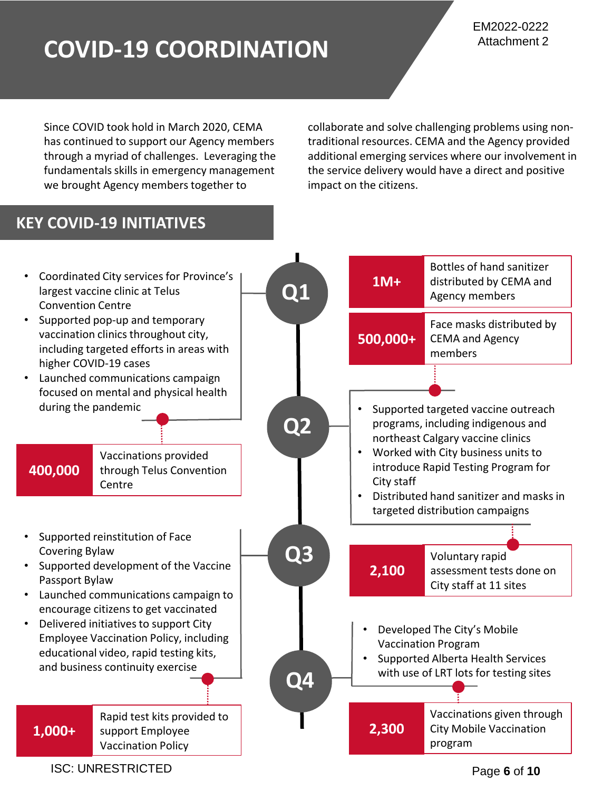# **COVID-19 COORDINATION**

Since COVID took hold in March 2020, CEMA has continued to support our Agency members through a myriad of challenges. Leveraging the fundamentals skills in emergency management we brought Agency members together to

collaborate and solve challenging problems using nontraditional resources. CEMA and the Agency provided additional emerging services where our involvement in the service delivery would have a direct and positive impact on the citizens.

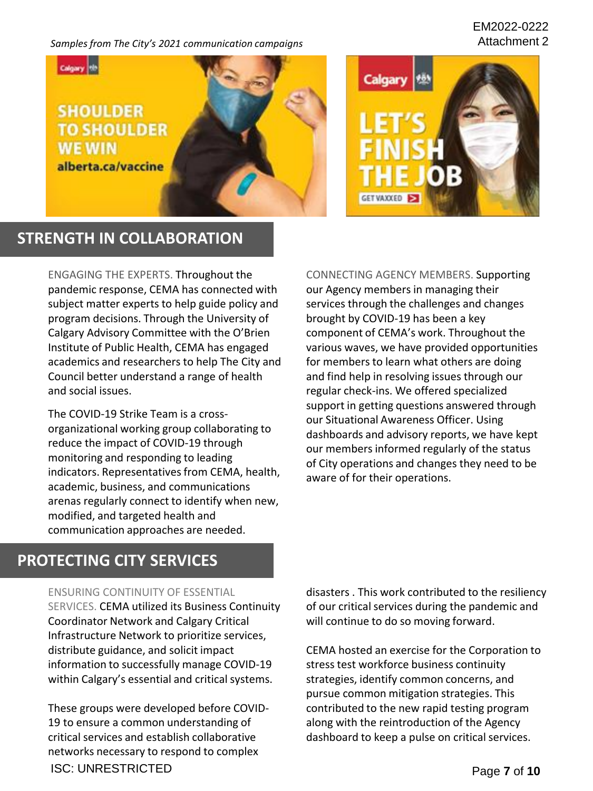#### *Samples from The City's 2021 communication campaigns*

#### EM2022-0222 Attachment 2





### **STRENGTH IN COLLABORATION**

ENGAGING THE EXPERTS. Throughout the pandemic response, CEMA has connected with subject matter experts to help guide policy and program decisions. Through the University of Calgary Advisory Committee with the O'Brien Institute of Public Health, CEMA has engaged academics and researchers to help The City and Council better understand a range of health and social issues.

The COVID-19 Strike Team is a crossorganizational working group collaborating to reduce the impact of COVID-19 through monitoring and responding to leading indicators. Representatives from CEMA, health, academic, business, and communications arenas regularly connect to identify when new, modified, and targeted health and communication approaches are needed.

CONNECTING AGENCY MEMBERS. Supporting our Agency members in managing their services through the challenges and changes brought by COVID-19 has been a key component of CEMA's work. Throughout the various waves, we have provided opportunities for members to learn what others are doing and find help in resolving issues through our regular check-ins. We offered specialized support in getting questions answered through our Situational Awareness Officer. Using dashboards and advisory reports, we have kept our members informed regularly of the status of City operations and changes they need to be aware of for their operations.

### **PROTECTING CITY SERVICES**

#### ENSURING CONTINUITY OF ESSENTIAL

SERVICES. CEMA utilized its Business Continuity Coordinator Network and Calgary Critical Infrastructure Network to prioritize services, distribute guidance, and solicit impact information to successfully manage COVID-19 within Calgary's essential and critical systems.

These groups were developed before COVID-19 to ensure a common understanding of critical services and establish collaborative networks necessary to respond to complex ISC: UNRESTRICTED Page **7** of **10** 

disasters . This work contributed to the resiliency of our critical services during the pandemic and will continue to do so moving forward.

CEMA hosted an exercise for the Corporation to stress test workforce business continuity strategies, identify common concerns, and pursue common mitigation strategies. This contributed to the new rapid testing program along with the reintroduction of the Agency dashboard to keep a pulse on critical services.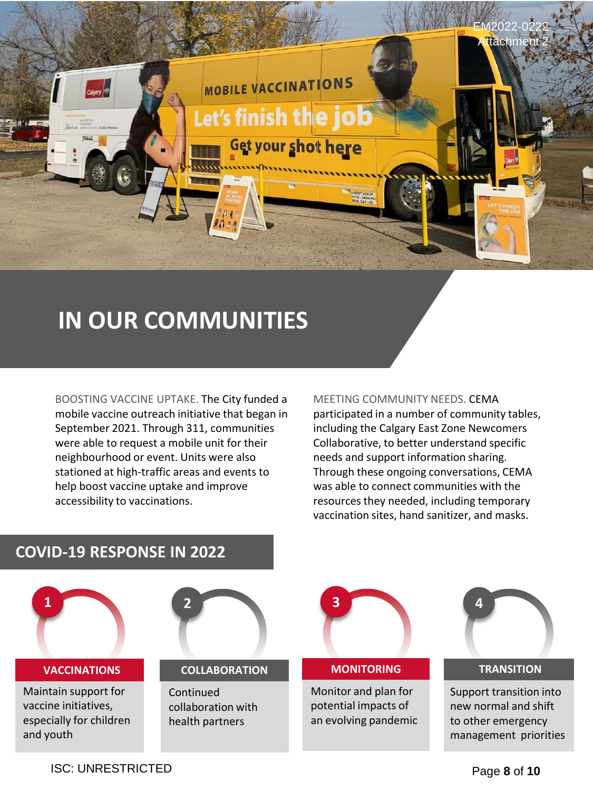

# **IN OUR COMMUNITIES**

BOOSTING VACCINE UPTAKE. The City funded a mobile vaccine outreach initiative that began in September 2021. Through 311, communities were able to request a mobile unit for their neighbourhood or event. Units were also stationed at high-traffic areas and events to help boost vaccine uptake and improve accessibility to vaccinations.

#### MEETING COMMUNITY NEEDS. CEMA

participated in a number of community tables, including the Calgary East Zone Newcomers Collaborative, to better understand specific needs and support information sharing. Through these ongoing conversations, CEMA was able to connect communities with the resources they needed, including temporary vaccination sites, hand sanitizer, and masks.





Support transition into new normal and shift to other emergency management priorities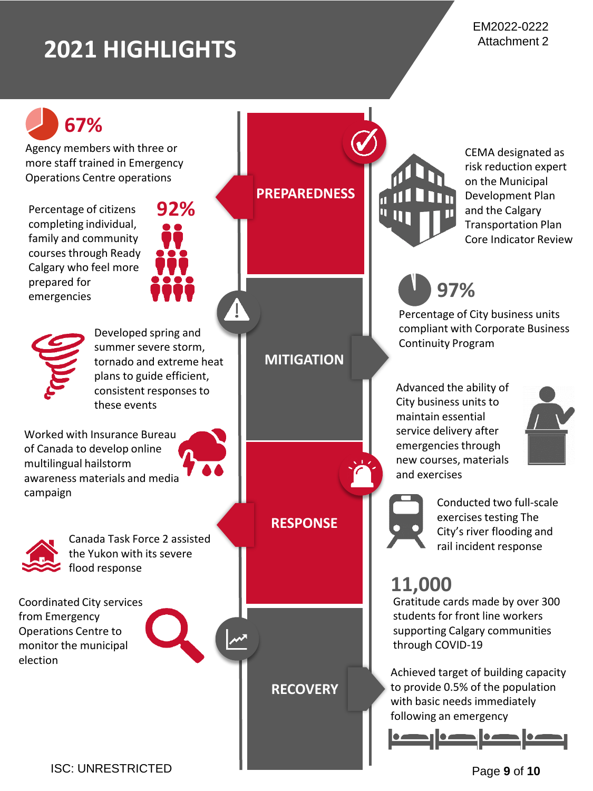# **2021 HIGHLIGHTS**